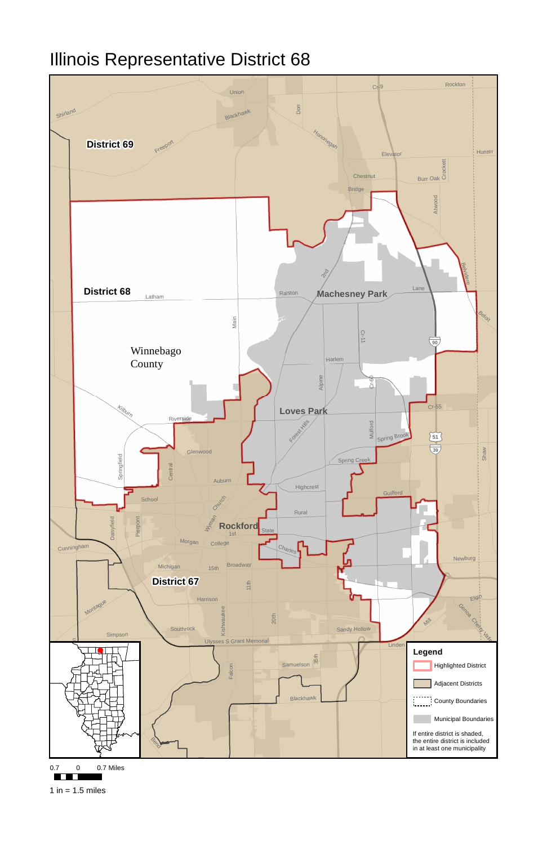

0.7 0 0.7 Miles

**TELE** 

1 in  $= 1.5$  miles

## Illinois Representative District 68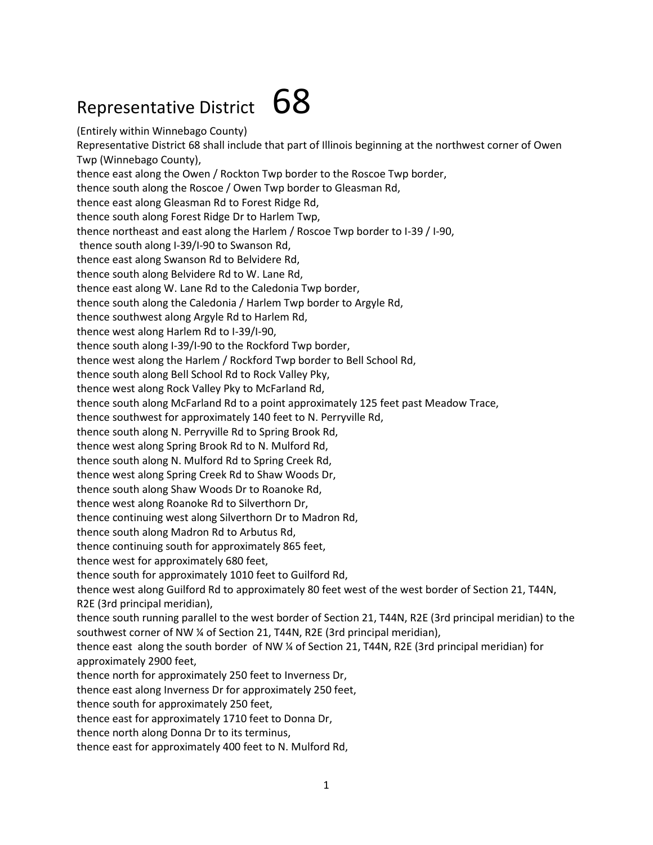## Representative District  $68$

(Entirely within Winnebago County) Representative District 68 shall include that part of Illinois beginning at the northwest corner of Owen Twp (Winnebago County), thence east along the Owen / Rockton Twp border to the Roscoe Twp border, thence south along the Roscoe / Owen Twp border to Gleasman Rd, thence east along Gleasman Rd to Forest Ridge Rd, thence south along Forest Ridge Dr to Harlem Twp, thence northeast and east along the Harlem / Roscoe Twp border to I-39 / I-90, thence south along I-39/I-90 to Swanson Rd, thence east along Swanson Rd to Belvidere Rd, thence south along Belvidere Rd to W. Lane Rd, thence east along W. Lane Rd to the Caledonia Twp border, thence south along the Caledonia / Harlem Twp border to Argyle Rd, thence southwest along Argyle Rd to Harlem Rd, thence west along Harlem Rd to I-39/I-90, thence south along I-39/I-90 to the Rockford Twp border, thence west along the Harlem / Rockford Twp border to Bell School Rd, thence south along Bell School Rd to Rock Valley Pky, thence west along Rock Valley Pky to McFarland Rd, thence south along McFarland Rd to a point approximately 125 feet past Meadow Trace, thence southwest for approximately 140 feet to N. Perryville Rd, thence south along N. Perryville Rd to Spring Brook Rd, thence west along Spring Brook Rd to N. Mulford Rd, thence south along N. Mulford Rd to Spring Creek Rd, thence west along Spring Creek Rd to Shaw Woods Dr, thence south along Shaw Woods Dr to Roanoke Rd, thence west along Roanoke Rd to Silverthorn Dr, thence continuing west along Silverthorn Dr to Madron Rd, thence south along Madron Rd to Arbutus Rd, thence continuing south for approximately 865 feet, thence west for approximately 680 feet, thence south for approximately 1010 feet to Guilford Rd, thence west along Guilford Rd to approximately 80 feet west of the west border of Section 21, T44N, R2E (3rd principal meridian), thence south running parallel to the west border of Section 21, T44N, R2E (3rd principal meridian) to the southwest corner of NW ¼ of Section 21, T44N, R2E (3rd principal meridian), thence east along the south border of NW ¼ of Section 21, T44N, R2E (3rd principal meridian) for approximately 2900 feet, thence north for approximately 250 feet to Inverness Dr, thence east along Inverness Dr for approximately 250 feet, thence south for approximately 250 feet, thence east for approximately 1710 feet to Donna Dr, thence north along Donna Dr to its terminus,

thence east for approximately 400 feet to N. Mulford Rd,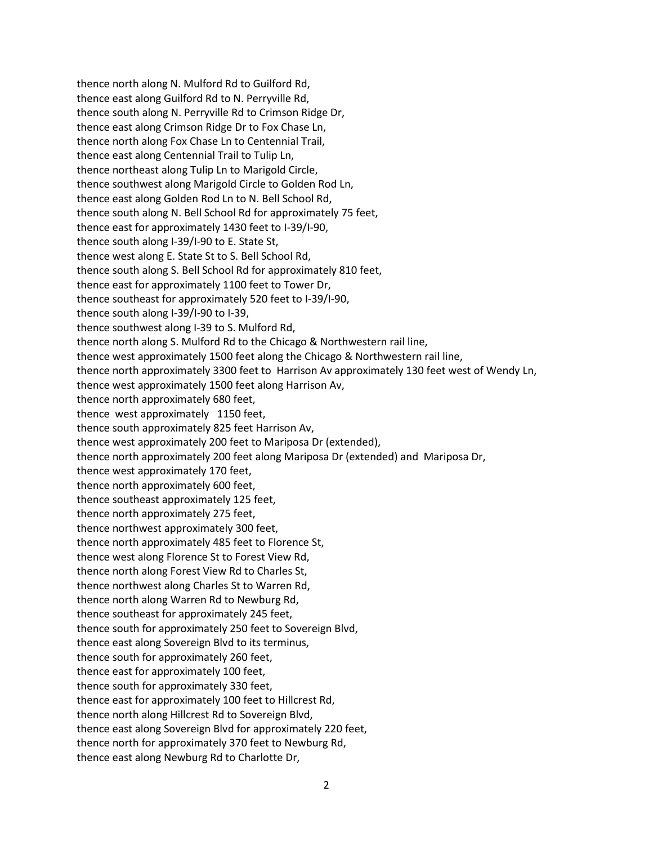thence north along N. Mulford Rd to Guilford Rd, thence east along Guilford Rd to N. Perryville Rd, thence south along N. Perryville Rd to Crimson Ridge Dr, thence east along Crimson Ridge Dr to Fox Chase Ln, thence north along Fox Chase Ln to Centennial Trail, thence east along Centennial Trail to Tulip Ln, thence northeast along Tulip Ln to Marigold Circle, thence southwest along Marigold Circle to Golden Rod Ln, thence east along Golden Rod Ln to N. Bell School Rd, thence south along N. Bell School Rd for approximately 75 feet, thence east for approximately 1430 feet to I-39/I-90, thence south along I-39/I-90 to E. State St, thence west along E. State St to S. Bell School Rd, thence south along S. Bell School Rd for approximately 810 feet, thence east for approximately 1100 feet to Tower Dr, thence southeast for approximately 520 feet to I-39/I-90, thence south along I-39/I-90 to I-39, thence southwest along I-39 to S. Mulford Rd, thence north along S. Mulford Rd to the Chicago & Northwestern rail line, thence west approximately 1500 feet along the Chicago & Northwestern rail line, thence north approximately 3300 feet to Harrison Av approximately 130 feet west of Wendy Ln, thence west approximately 1500 feet along Harrison Av, thence north approximately 680 feet, thence west approximately 1150 feet, thence south approximately 825 feet Harrison Av, thence west approximately 200 feet to Mariposa Dr (extended), thence north approximately 200 feet along Mariposa Dr (extended) and Mariposa Dr, thence west approximately 170 feet, thence north approximately 600 feet, thence southeast approximately 125 feet, thence north approximately 275 feet, thence northwest approximately 300 feet, thence north approximately 485 feet to Florence St, thence west along Florence St to Forest View Rd, thence north along Forest View Rd to Charles St, thence northwest along Charles St to Warren Rd, thence north along Warren Rd to Newburg Rd, thence southeast for approximately 245 feet, thence south for approximately 250 feet to Sovereign Blvd, thence east along Sovereign Blvd to its terminus, thence south for approximately 260 feet, thence east for approximately 100 feet, thence south for approximately 330 feet, thence east for approximately 100 feet to Hillcrest Rd, thence north along Hillcrest Rd to Sovereign Blvd, thence east along Sovereign Blvd for approximately 220 feet, thence north for approximately 370 feet to Newburg Rd, thence east along Newburg Rd to Charlotte Dr,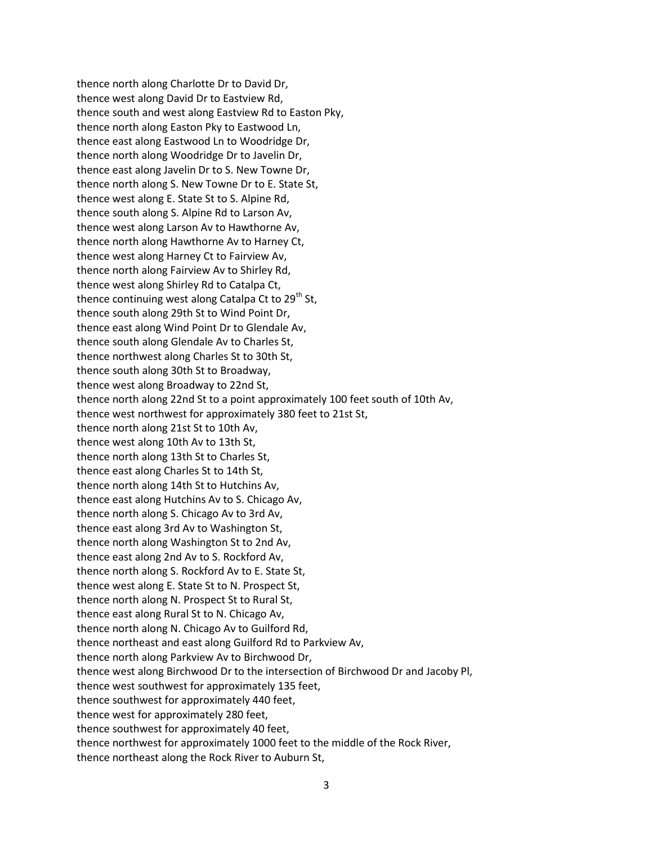thence north along Charlotte Dr to David Dr, thence west along David Dr to Eastview Rd, thence south and west along Eastview Rd to Easton Pky, thence north along Easton Pky to Eastwood Ln, thence east along Eastwood Ln to Woodridge Dr, thence north along Woodridge Dr to Javelin Dr, thence east along Javelin Dr to S. New Towne Dr, thence north along S. New Towne Dr to E. State St, thence west along E. State St to S. Alpine Rd, thence south along S. Alpine Rd to Larson Av, thence west along Larson Av to Hawthorne Av, thence north along Hawthorne Av to Harney Ct, thence west along Harney Ct to Fairview Av, thence north along Fairview Av to Shirley Rd, thence west along Shirley Rd to Catalpa Ct, thence continuing west along Catalpa Ct to  $29<sup>th</sup>$  St, thence south along 29th St to Wind Point Dr, thence east along Wind Point Dr to Glendale Av, thence south along Glendale Av to Charles St, thence northwest along Charles St to 30th St, thence south along 30th St to Broadway, thence west along Broadway to 22nd St, thence north along 22nd St to a point approximately 100 feet south of 10th Av, thence west northwest for approximately 380 feet to 21st St, thence north along 21st St to 10th Av, thence west along 10th Av to 13th St, thence north along 13th St to Charles St, thence east along Charles St to 14th St, thence north along 14th St to Hutchins Av, thence east along Hutchins Av to S. Chicago Av, thence north along S. Chicago Av to 3rd Av, thence east along 3rd Av to Washington St, thence north along Washington St to 2nd Av, thence east along 2nd Av to S. Rockford Av, thence north along S. Rockford Av to E. State St, thence west along E. State St to N. Prospect St, thence north along N. Prospect St to Rural St, thence east along Rural St to N. Chicago Av, thence north along N. Chicago Av to Guilford Rd, thence northeast and east along Guilford Rd to Parkview Av, thence north along Parkview Av to Birchwood Dr, thence west along Birchwood Dr to the intersection of Birchwood Dr and Jacoby Pl, thence west southwest for approximately 135 feet, thence southwest for approximately 440 feet, thence west for approximately 280 feet, thence southwest for approximately 40 feet, thence northwest for approximately 1000 feet to the middle of the Rock River, thence northeast along the Rock River to Auburn St,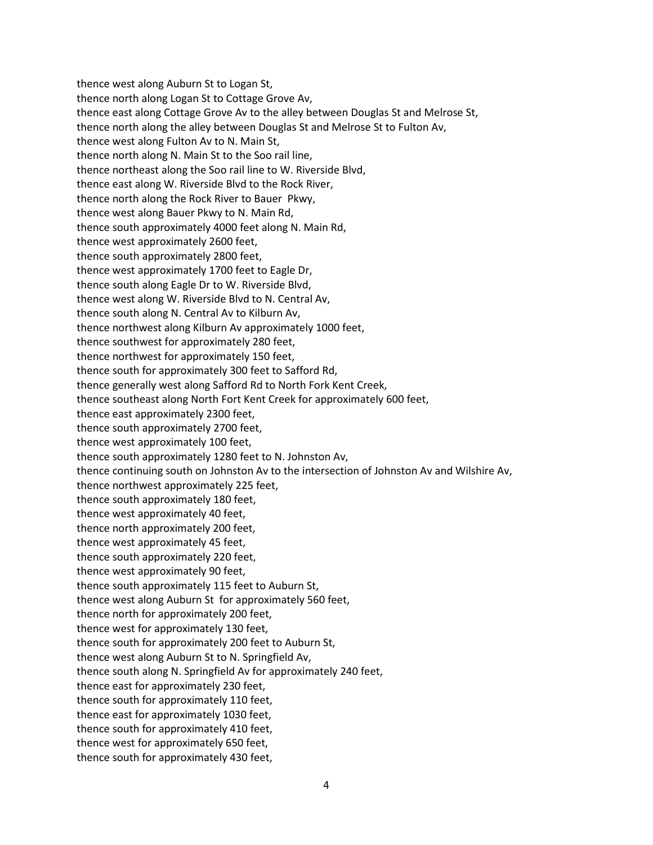thence west along Auburn St to Logan St, thence north along Logan St to Cottage Grove Av, thence east along Cottage Grove Av to the alley between Douglas St and Melrose St, thence north along the alley between Douglas St and Melrose St to Fulton Av, thence west along Fulton Av to N. Main St, thence north along N. Main St to the Soo rail line, thence northeast along the Soo rail line to W. Riverside Blvd, thence east along W. Riverside Blvd to the Rock River, thence north along the Rock River to Bauer Pkwy, thence west along Bauer Pkwy to N. Main Rd, thence south approximately 4000 feet along N. Main Rd, thence west approximately 2600 feet, thence south approximately 2800 feet, thence west approximately 1700 feet to Eagle Dr, thence south along Eagle Dr to W. Riverside Blvd, thence west along W. Riverside Blvd to N. Central Av, thence south along N. Central Av to Kilburn Av, thence northwest along Kilburn Av approximately 1000 feet, thence southwest for approximately 280 feet, thence northwest for approximately 150 feet, thence south for approximately 300 feet to Safford Rd, thence generally west along Safford Rd to North Fork Kent Creek, thence southeast along North Fort Kent Creek for approximately 600 feet, thence east approximately 2300 feet, thence south approximately 2700 feet, thence west approximately 100 feet, thence south approximately 1280 feet to N. Johnston Av, thence continuing south on Johnston Av to the intersection of Johnston Av and Wilshire Av, thence northwest approximately 225 feet, thence south approximately 180 feet, thence west approximately 40 feet, thence north approximately 200 feet, thence west approximately 45 feet, thence south approximately 220 feet, thence west approximately 90 feet, thence south approximately 115 feet to Auburn St, thence west along Auburn St for approximately 560 feet, thence north for approximately 200 feet, thence west for approximately 130 feet, thence south for approximately 200 feet to Auburn St, thence west along Auburn St to N. Springfield Av, thence south along N. Springfield Av for approximately 240 feet, thence east for approximately 230 feet, thence south for approximately 110 feet, thence east for approximately 1030 feet, thence south for approximately 410 feet, thence west for approximately 650 feet, thence south for approximately 430 feet,